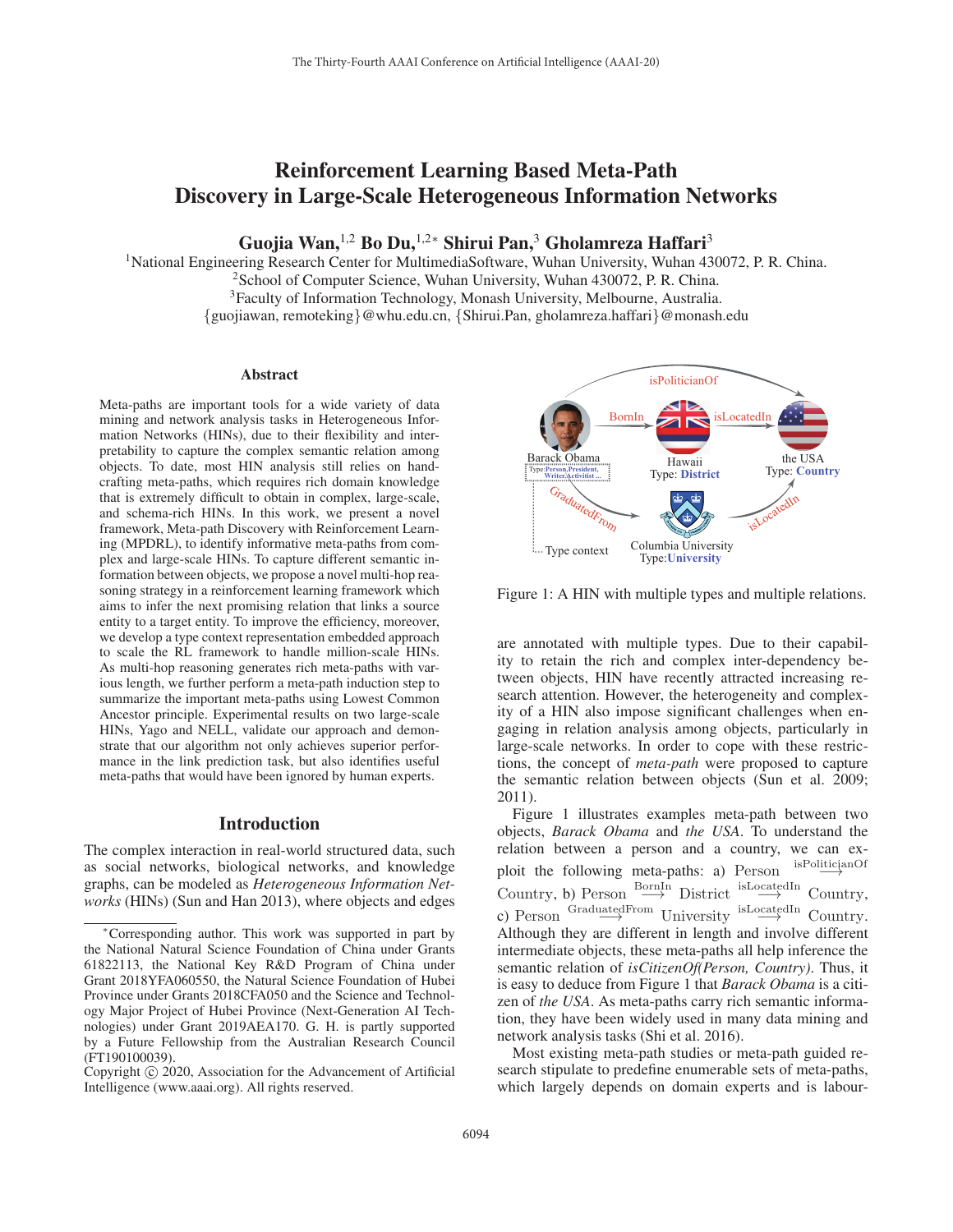# Reinforcement Learning Based Meta-Path Discovery in Large-Scale Heterogeneous Information Networks

Guojia Wan,<sup>1,2</sup> Bo Du,<sup>1,2</sup>\* Shirui Pan,<sup>3</sup> Gholamreza Haffari<sup>3</sup>

<sup>1</sup>National Engineering Research Center for MultimediaSoftware, Wuhan University, Wuhan 430072, P. R. China.

2School of Computer Science, Wuhan University, Wuhan 430072, P. R. China.

3Faculty of Information Technology, Monash University, Melbourne, Australia.

{guojiawan, remoteking}@whu.edu.cn, {Shirui.Pan, gholamreza.haffari}@monash.edu

#### Abstract

Meta-paths are important tools for a wide variety of data mining and network analysis tasks in Heterogeneous Information Networks (HINs), due to their flexibility and interpretability to capture the complex semantic relation among objects. To date, most HIN analysis still relies on handcrafting meta-paths, which requires rich domain knowledge that is extremely difficult to obtain in complex, large-scale, and schema-rich HINs. In this work, we present a novel framework, Meta-path Discovery with Reinforcement Learning (MPDRL), to identify informative meta-paths from complex and large-scale HINs. To capture different semantic information between objects, we propose a novel multi-hop reasoning strategy in a reinforcement learning framework which aims to infer the next promising relation that links a source entity to a target entity. To improve the efficiency, moreover, we develop a type context representation embedded approach to scale the RL framework to handle million-scale HINs. As multi-hop reasoning generates rich meta-paths with various length, we further perform a meta-path induction step to summarize the important meta-paths using Lowest Common Ancestor principle. Experimental results on two large-scale HINs, Yago and NELL, validate our approach and demonstrate that our algorithm not only achieves superior performance in the link prediction task, but also identifies useful meta-paths that would have been ignored by human experts.

## Introduction

The complex interaction in real-world structured data, such as social networks, biological networks, and knowledge graphs, can be modeled as *Heterogeneous Information Networks* (HINs) (Sun and Han 2013), where objects and edges



Figure 1: A HIN with multiple types and multiple relations.

are annotated with multiple types. Due to their capability to retain the rich and complex inter-dependency between objects, HIN have recently attracted increasing research attention. However, the heterogeneity and complexity of a HIN also impose significant challenges when engaging in relation analysis among objects, particularly in large-scale networks. In order to cope with these restrictions, the concept of *meta-path* were proposed to capture the semantic relation between objects (Sun et al. 2009; 2011).

Figure 1 illustrates examples meta-path between two objects, *Barack Obama* and *the USA*. To understand the relation between a person and a country, we can exploit the following meta-paths: a) Person isPoliticianOf Country, b) Person  $\xrightarrow{\text{BornIn}}$  District  $\xrightarrow{\text{isLocatedIn}}$ <br>  $\rightarrow$  D.  $\Rightarrow$  Country, c) Person  $\overrightarrow{GraduatedFrom}$  University  $\overrightarrow{c}$  Country.<br>Although they are different in length and involve different Although they are different in length and involve different intermediate objects, these meta-paths all help inference the semantic relation of *isCitizenOf(Person, Country)*. Thus, it is easy to deduce from Figure 1 that *Barack Obama* is a citizen of *the USA*. As meta-paths carry rich semantic information, they have been widely used in many data mining and network analysis tasks (Shi et al. 2016).

Most existing meta-path studies or meta-path guided research stipulate to predefine enumerable sets of meta-paths, which largely depends on domain experts and is labour-

<sup>∗</sup>Corresponding author. This work was supported in part by the National Natural Science Foundation of China under Grants 61822113, the National Key R&D Program of China under Grant 2018YFA060550, the Natural Science Foundation of Hubei Province under Grants 2018CFA050 and the Science and Technology Major Project of Hubei Province (Next-Generation AI Technologies) under Grant 2019AEA170. G. H. is partly supported by a Future Fellowship from the Australian Research Council (FT190100039).

Copyright  $\odot$  2020, Association for the Advancement of Artificial Intelligence (www.aaai.org). All rights reserved.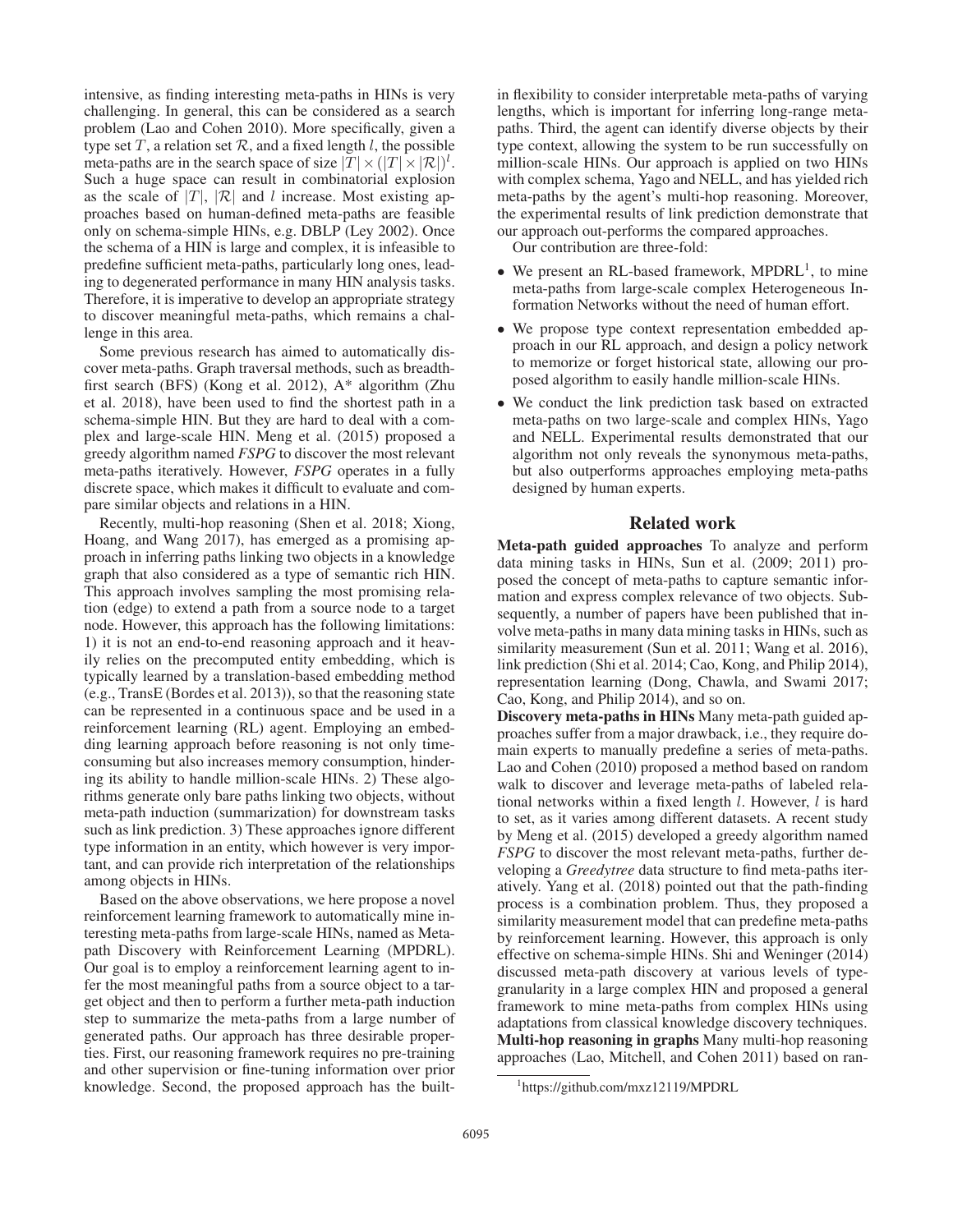intensive, as finding interesting meta-paths in HINs is very challenging. In general, this can be considered as a search problem (Lao and Cohen 2010). More specifically, given a type set  $T$ , a relation set  $\mathcal{R}$ , and a fixed length l, the possible The meta-paths are in the search space of size  $|T| \times (|T| \times |\mathcal{R}|)^l$ .<br>Such a huge space can result in combinatorial explosion Such a huge space can result in combinatorial explosion as the scale of  $|T|$ ,  $|R|$  and l increase. Most existing approaches based on human-defined meta-paths are feasible only on schema-simple HINs, e.g. DBLP (Ley 2002). Once the schema of a HIN is large and complex, it is infeasible to predefine sufficient meta-paths, particularly long ones, leading to degenerated performance in many HIN analysis tasks. Therefore, it is imperative to develop an appropriate strategy to discover meaningful meta-paths, which remains a challenge in this area.

Some previous research has aimed to automatically discover meta-paths. Graph traversal methods, such as breadthfirst search (BFS) (Kong et al. 2012), A\* algorithm (Zhu et al. 2018), have been used to find the shortest path in a schema-simple HIN. But they are hard to deal with a complex and large-scale HIN. Meng et al. (2015) proposed a greedy algorithm named *FSPG* to discover the most relevant meta-paths iteratively. However, *FSPG* operates in a fully discrete space, which makes it difficult to evaluate and compare similar objects and relations in a HIN.

Recently, multi-hop reasoning (Shen et al. 2018; Xiong, Hoang, and Wang 2017), has emerged as a promising approach in inferring paths linking two objects in a knowledge graph that also considered as a type of semantic rich HIN. This approach involves sampling the most promising relation (edge) to extend a path from a source node to a target node. However, this approach has the following limitations: 1) it is not an end-to-end reasoning approach and it heavily relies on the precomputed entity embedding, which is typically learned by a translation-based embedding method (e.g., TransE (Bordes et al. 2013)), so that the reasoning state can be represented in a continuous space and be used in a reinforcement learning (RL) agent. Employing an embedding learning approach before reasoning is not only timeconsuming but also increases memory consumption, hindering its ability to handle million-scale HINs. 2) These algorithms generate only bare paths linking two objects, without meta-path induction (summarization) for downstream tasks such as link prediction. 3) These approaches ignore different type information in an entity, which however is very important, and can provide rich interpretation of the relationships among objects in HINs.

Based on the above observations, we here propose a novel reinforcement learning framework to automatically mine interesting meta-paths from large-scale HINs, named as Metapath Discovery with Reinforcement Learning (MPDRL). Our goal is to employ a reinforcement learning agent to infer the most meaningful paths from a source object to a target object and then to perform a further meta-path induction step to summarize the meta-paths from a large number of generated paths. Our approach has three desirable properties. First, our reasoning framework requires no pre-training and other supervision or fine-tuning information over prior knowledge. Second, the proposed approach has the builtin flexibility to consider interpretable meta-paths of varying lengths, which is important for inferring long-range metapaths. Third, the agent can identify diverse objects by their type context, allowing the system to be run successfully on million-scale HINs. Our approach is applied on two HINs with complex schema, Yago and NELL, and has yielded rich meta-paths by the agent's multi-hop reasoning. Moreover, the experimental results of link prediction demonstrate that our approach out-performs the compared approaches.

Our contribution are three-fold:

- We present an RL-based framework,  $MPDRL<sup>1</sup>$ , to mine meta-paths from large-scale complex Heterogeneous Information Networks without the need of human effort.
- We propose type context representation embedded approach in our RL approach, and design a policy network to memorize or forget historical state, allowing our proposed algorithm to easily handle million-scale HINs.
- We conduct the link prediction task based on extracted meta-paths on two large-scale and complex HINs, Yago and NELL. Experimental results demonstrated that our algorithm not only reveals the synonymous meta-paths, but also outperforms approaches employing meta-paths designed by human experts.

# Related work

Meta-path guided approaches To analyze and perform data mining tasks in HINs, Sun et al. (2009; 2011) proposed the concept of meta-paths to capture semantic information and express complex relevance of two objects. Subsequently, a number of papers have been published that involve meta-paths in many data mining tasks in HINs, such as similarity measurement (Sun et al. 2011; Wang et al. 2016), link prediction (Shi et al. 2014; Cao, Kong, and Philip 2014), representation learning (Dong, Chawla, and Swami 2017; Cao, Kong, and Philip 2014), and so on.

Discovery meta-paths in HINs Many meta-path guided approaches suffer from a major drawback, i.e., they require domain experts to manually predefine a series of meta-paths. Lao and Cohen (2010) proposed a method based on random walk to discover and leverage meta-paths of labeled relational networks within a fixed length  $l$ . However,  $l$  is hard to set, as it varies among different datasets. A recent study by Meng et al. (2015) developed a greedy algorithm named *FSPG* to discover the most relevant meta-paths, further developing a *Greedytree* data structure to find meta-paths iteratively. Yang et al. (2018) pointed out that the path-finding process is a combination problem. Thus, they proposed a similarity measurement model that can predefine meta-paths by reinforcement learning. However, this approach is only effective on schema-simple HINs. Shi and Weninger (2014) discussed meta-path discovery at various levels of typegranularity in a large complex HIN and proposed a general framework to mine meta-paths from complex HINs using adaptations from classical knowledge discovery techniques. Multi-hop reasoning in graphs Many multi-hop reasoning approaches (Lao, Mitchell, and Cohen 2011) based on ran-

<sup>1</sup> https://github.com/mxz12119/MPDRL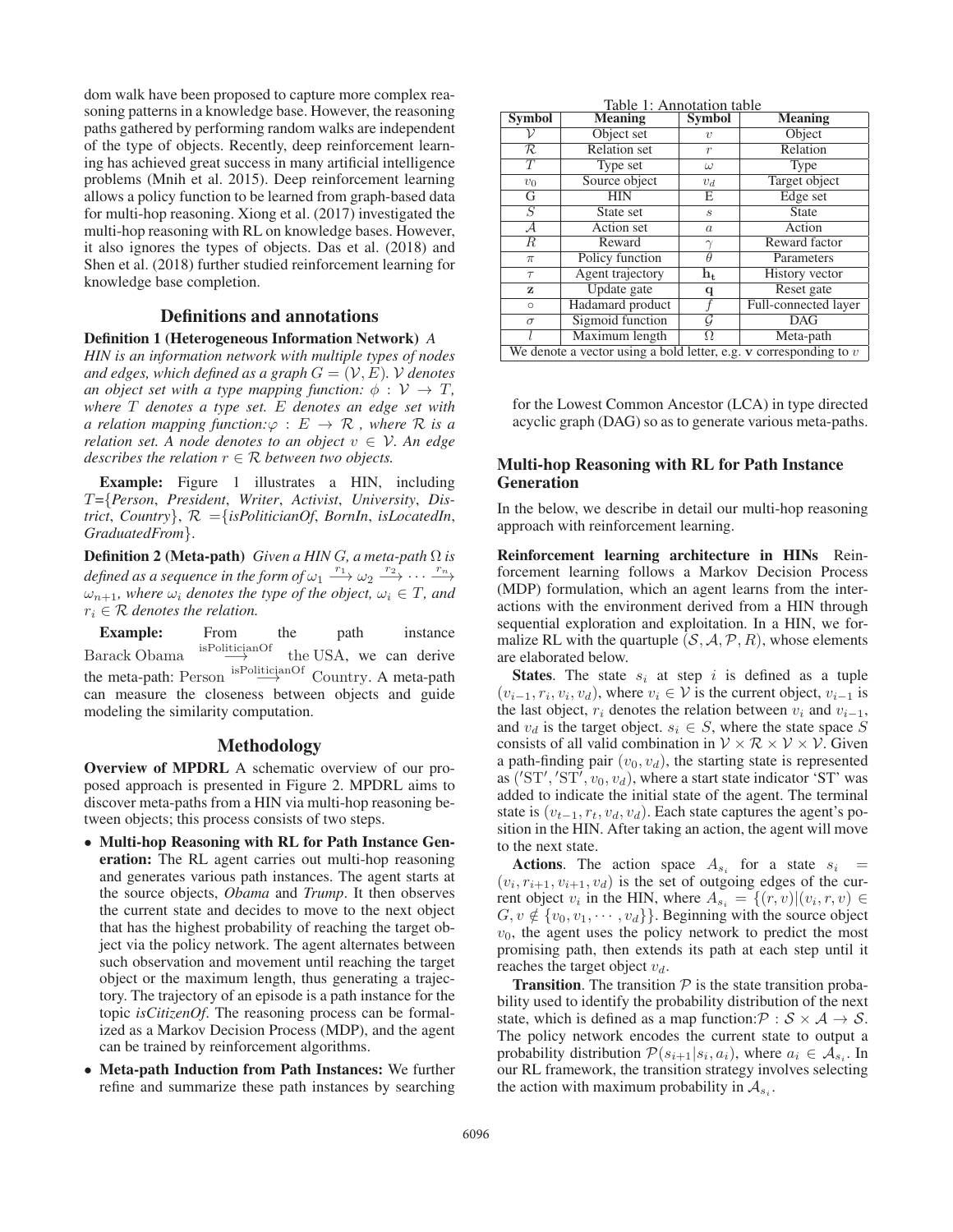dom walk have been proposed to capture more complex reasoning patterns in a knowledge base. However, the reasoning paths gathered by performing random walks are independent of the type of objects. Recently, deep reinforcement learning has achieved great success in many artificial intelligence problems (Mnih et al. 2015). Deep reinforcement learning allows a policy function to be learned from graph-based data for multi-hop reasoning. Xiong et al. (2017) investigated the multi-hop reasoning with RL on knowledge bases. However, it also ignores the types of objects. Das et al. (2018) and Shen et al. (2018) further studied reinforcement learning for knowledge base completion.

# Definitions and annotations

Definition 1 (Heterogeneous Information Network) *A*

*HIN is an information network with multiple types of nodes and edges, which defined as a graph*  $G = (\mathcal{V}, E)$ *.* V *denotes an object set with a type mapping function:*  $\phi : V \to T$ , *where* T *denotes a type set.* E *denotes an edge set with a relation mapping function:* $\varphi : E \to \mathcal{R}$ , where  $\mathcal R$  *is a relation set.* A node denotes to an object  $v \in V$ . An edge *describes the relation*  $r \in \mathcal{R}$  *between two objects.* 

Example: Figure 1 illustrates a HIN, including T={*Person*, *President*, *Writer*, *Activist*, *University*, *District*, *Country*}, <sup>R</sup> ={*isPoliticianOf*, *BornIn*, *isLocatedIn*, *GraduatedFrom*}.

Definition 2 (Meta-path) *Given a HIN* <sup>G</sup>*, a meta-path* Ω *is defined as a sequence in the form of*  $\omega_1 \xrightarrow{r_1} \omega_2 \xrightarrow{r_2} \cdots \xrightarrow{r_n}$  $\omega_{n+1}$ *, where*  $\omega_i$  *denotes the type of the object,*  $\omega_i \in T$ *, and*  $r_i \in \mathcal{R}$  *denotes the relation.* 

**Example:** From the path instance<br> $\frac{1}{2}$  is politician Of the USA we can derive Barack Obama  $\overset{\text{isPoliticianOf}}{\longrightarrow}$  the USA, we can derive the meta-path: Person  $\xrightarrow{\text{isPoliticianOf}}$  Country. A meta-path can measure the closeness between objects and quide can measure the closeness between objects and guide modeling the similarity computation.

#### Methodology

Overview of MPDRL A schematic overview of our proposed approach is presented in Figure 2. MPDRL aims to discover meta-paths from a HIN via multi-hop reasoning between objects; this process consists of two steps.

- Multi-hop Reasoning with RL for Path Instance Generation: The RL agent carries out multi-hop reasoning and generates various path instances. The agent starts at the source objects, *Obama* and *Trump*. It then observes the current state and decides to move to the next object that has the highest probability of reaching the target object via the policy network. The agent alternates between such observation and movement until reaching the target object or the maximum length, thus generating a trajectory. The trajectory of an episode is a path instance for the topic *isCitizenOf*. The reasoning process can be formalized as a Markov Decision Process (MDP), and the agent can be trained by reinforcement algorithms.
- Meta-path Induction from Path Instances: We further refine and summarize these path instances by searching

|  | Table 1: Annotation table |  |
|--|---------------------------|--|
|  |                           |  |

| <b>Symbol</b>                                                                   | raone 1, 7 minouation taone<br><b>Meaning</b> | <b>Symbol</b>     | $\overline{\mathbf{M}}$ eaning |  |  |
|---------------------------------------------------------------------------------|-----------------------------------------------|-------------------|--------------------------------|--|--|
|                                                                                 | Object set                                    | $\upsilon$        | Object                         |  |  |
| R                                                                               | <b>Relation</b> set                           | $\boldsymbol{r}$  | Relation                       |  |  |
| $\overline{T}$                                                                  | Type set                                      | $\omega$          | Type                           |  |  |
| $v_0$                                                                           | Source object                                 | $v_d$             | Target object                  |  |  |
| G                                                                               | <b>HIN</b>                                    | E                 | Edge set                       |  |  |
| $\overline{S}$                                                                  | State set                                     | $\mathcal{S}_{0}$ | <b>State</b>                   |  |  |
| ${\cal A}$                                                                      | Action set                                    | $\boldsymbol{a}$  | Action                         |  |  |
| $\boldsymbol{R}$                                                                | Reward                                        | $\gamma$          | Reward factor                  |  |  |
| $\pi$                                                                           | Policy function                               | $\theta$          | Parameters                     |  |  |
| $\tau$                                                                          | Agent trajectory                              | $h_t$             | History vector                 |  |  |
| z                                                                               | Update gate                                   | q                 | Reset gate                     |  |  |
| $\circ$                                                                         | Hadamard product                              |                   | Full-connected layer           |  |  |
| $\sigma$                                                                        | Sigmoid function                              | G                 | <b>DAG</b>                     |  |  |
|                                                                                 | Maximum length                                | Ω                 | Meta-path                      |  |  |
| We denote a vector using a bold letter, e.g. $\bf{v}$ corresponding to $\bf{v}$ |                                               |                   |                                |  |  |

for the Lowest Common Ancestor (LCA) in type directed acyclic graph (DAG) so as to generate various meta-paths.

# Multi-hop Reasoning with RL for Path Instance Generation

In the below, we describe in detail our multi-hop reasoning approach with reinforcement learning.

Reinforcement learning architecture in HINs Reinforcement learning follows a Markov Decision Process (MDP) formulation, which an agent learns from the interactions with the environment derived from a HIN through sequential exploration and exploitation. In a HIN, we formalize RL with the quartuple  $(S, A, P, R)$ , whose elements are elaborated below.

**States**. The state  $s_i$  at step i is defined as a tuple  $(v_{i-1}, r_i, v_i, v_d)$ , where  $v_i \in V$  is the current object,  $v_{i-1}$  is the last object,  $r_i$  denotes the relation between  $v_i$  and  $v_{i-1}$ , and  $v_d$  is the target object.  $s_i \in S$ , where the state space S consists of all valid combination in  $V \times \mathcal{R} \times V \times V$ . Given a path-finding pair  $(v_0, v_d)$ , the starting state is represented as ('ST', 'ST<sup>'</sup>,  $v_0, v_d$ ), where a start state indicator 'ST' was<br>added to indicate the initial state of the agent. The terminal added to indicate the initial state of the agent. The terminal state is  $(v_{t-1}, r_t, v_d, v_d)$ . Each state captures the agent's position in the HIN. After taking an action, the agent will move to the next state.

Actions. The action space  $A_{s_i}$  for a state  $s_i$  =  $(v_i, r_{i+1}, v_{i+1}, v_d)$  is the set of outgoing edges of the current object  $v_i$  in the HIN, where  $A_{s_i} = \{(r, v) | (v_i, r, v) \in$  $G, v \notin \{v_0, v_1, \dots, v_d\}$ . Beginning with the source object  $v_0$ , the agent uses the policy network to predict the most promising path, then extends its path at each step until it reaches the target object  $v_d$ .

**Transition.** The transition  $P$  is the state transition probability used to identify the probability distribution of the next state, which is defined as a map function:  $\mathcal{P}: \mathcal{S} \times \mathcal{A} \rightarrow \mathcal{S}$ . The policy network encodes the current state to output a probability distribution  $\mathcal{P}(s_{i+1}|s_i, a_i)$ , where  $a_i \in \mathcal{A}_{s_i}$ . In our RL framework, the transition strategy involves selecting the action with maximum probability in  $A_{s_i}$ .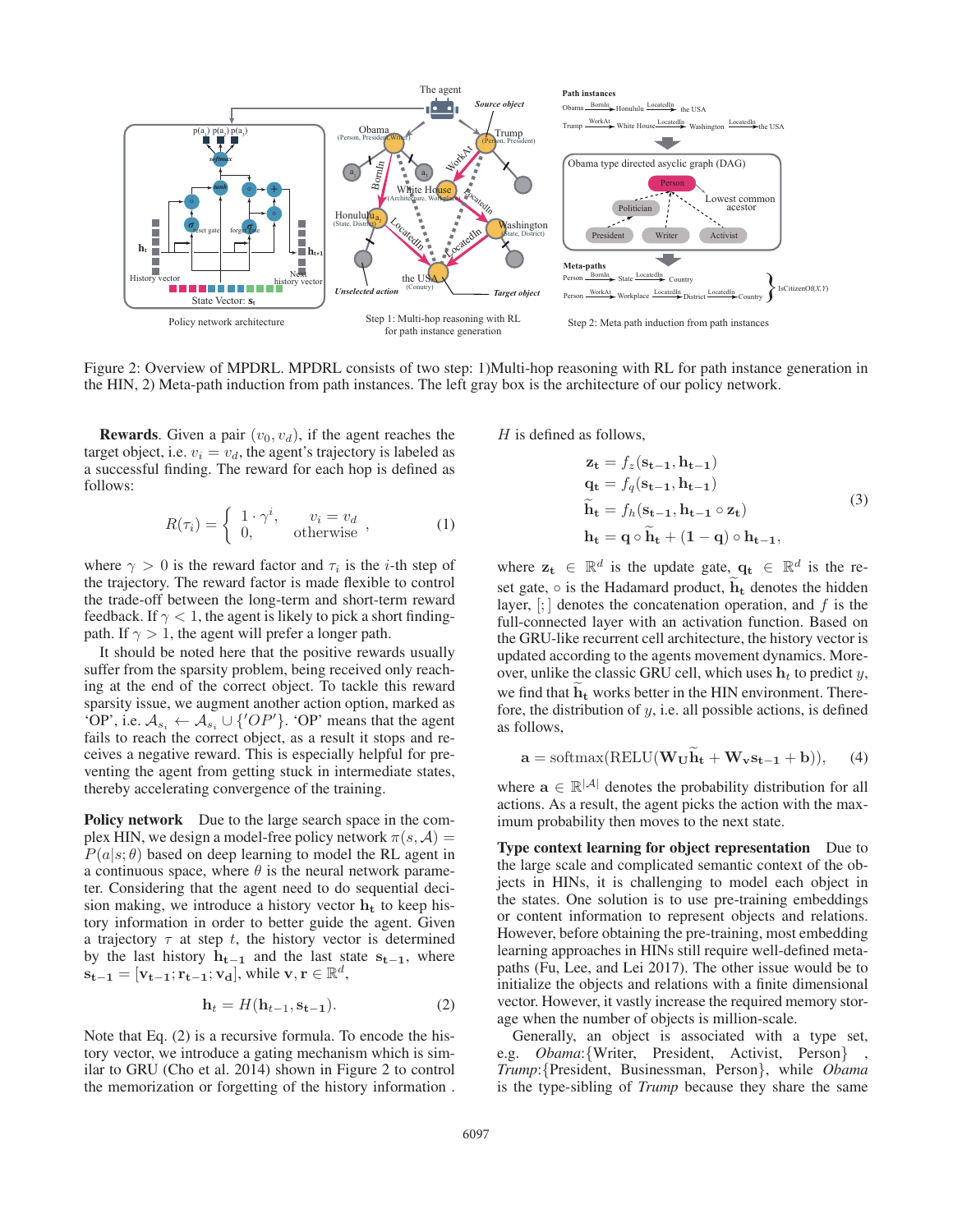

Figure 2: Overview of MPDRL. MPDRL consists of two step: 1)Multi-hop reasoning with RL for path instance generation in the HIN, 2) Meta-path induction from path instances. The left gray box is the architecture of our policy network.

**Rewards.** Given a pair  $(v_0, v_d)$ , if the agent reaches the target object, i.e.  $v_i = v_d$ , the agent's trajectory is labeled as a successful finding. The reward for each hop is defined as follows:

$$
R(\tau_i) = \begin{cases} 1 \cdot \gamma^i, & v_i = v_d \\ 0, & \text{otherwise} \end{cases}, \tag{1}
$$

where  $\gamma > 0$  is the reward factor and  $\tau_i$  is the *i*-th step of the trajectory. The reward factor is made flexible to control the trade-off between the long-term and short-term reward feedback. If  $\gamma$  < 1, the agent is likely to pick a short findingpath. If  $\gamma > 1$ , the agent will prefer a longer path.

It should be noted here that the positive rewards usually suffer from the sparsity problem, being received only reaching at the end of the correct object. To tackle this reward sparsity issue, we augment another action option, marked as 'OP', i.e.  $A_{s_i} \leftarrow A_{s_i} \cup \{'OP'\}$ . 'OP' means that the agent fails to reach the correct object, as a result it stops and receives a negative reward. This is especially helpful for preventing the agent from getting stuck in intermediate states, thereby accelerating convergence of the training.

Policy network Due to the large search space in the complex HIN, we design a model-free policy network  $\pi(s, A)$  =  $P(a|s; \theta)$  based on deep learning to model the RL agent in a continuous space, where  $\theta$  is the neural network parameter. Considering that the agent need to do sequential decision making, we introduce a history vector  $h_t$  to keep history information in order to better guide the agent. Given a trajectory  $\tau$  at step t, the history vector is determined by the last history  $h_{t-1}$  and the last state  $s_{t-1}$ , where  $\mathbf{s}_{\mathbf{t}-\mathbf{1}} = [\mathbf{v}_{\mathbf{t}-\mathbf{1}}; \mathbf{r}_{\mathbf{t}-\mathbf{1}}; \mathbf{v}_{\mathbf{d}}],$  while  $\mathbf{v}, \mathbf{r} \in \mathbb{R}^d$ ,

$$
\mathbf{h}_t = H(\mathbf{h}_{t-1}, \mathbf{s}_{t-1}).
$$
\n(2)

Note that Eq. (2) is a recursive formula. To encode the history vector, we introduce a gating mechanism which is similar to GRU (Cho et al. 2014) shown in Figure 2 to control the memorization or forgetting of the history information .  $H$  is defined as follows,

$$
\mathbf{z}_{t} = f_{z}(\mathbf{s}_{t-1}, \mathbf{h}_{t-1})
$$
\n
$$
\mathbf{q}_{t} = f_{q}(\mathbf{s}_{t-1}, \mathbf{h}_{t-1})
$$
\n
$$
\widetilde{\mathbf{h}}_{t} = f_{h}(\mathbf{s}_{t-1}, \mathbf{h}_{t-1} \circ \mathbf{z}_{t})
$$
\n
$$
\mathbf{h}_{t} = \mathbf{q} \circ \widetilde{\mathbf{h}}_{t} + (1 - \mathbf{q}) \circ \mathbf{h}_{t-1},
$$
\n(3)

where  $z_t \in \mathbb{R}^d$  is the update gate,  $q_t \in \mathbb{R}^d$  is the reset gate,  $\circ$  is the Hadamard product,  $\mathbf{h}_t$  denotes the hidden layer,  $\left[\cdot\right]$  denotes the concatenation operation, and  $f$  is the full-connected layer with an activation function. Based on the GRU-like recurrent cell architecture, the history vector is updated according to the agents movement dynamics. Moreover, unlike the classic GRU cell, which uses  $h_t$  to predict y, we find that **h<sup>t</sup>** works better in the HIN environment. Therefore, the distribution of  $y$ , i.e. all possible actions, is defined as follows,

$$
\mathbf{a} = \text{softmax}(\text{RELU}(\mathbf{W}_{\mathbf{U}}\widetilde{\mathbf{h}}_{\mathbf{t}} + \mathbf{W}_{\mathbf{v}}\mathbf{s}_{\mathbf{t}-1} + \mathbf{b})), \quad (4)
$$

where  $\mathbf{a} \in \mathbb{R}^{|\mathcal{A}|}$  denotes the probability distribution for all actions. As a result, the agent picks the action with the maximum probability then moves to the next state.

Type context learning for object representation Due to the large scale and complicated semantic context of the objects in HINs, it is challenging to model each object in the states. One solution is to use pre-training embeddings or content information to represent objects and relations. However, before obtaining the pre-training, most embedding learning approaches in HINs still require well-defined metapaths (Fu, Lee, and Lei 2017). The other issue would be to initialize the objects and relations with a finite dimensional vector. However, it vastly increase the required memory storage when the number of objects is million-scale.

Generally, an object is associated with a type set, e.g. *Obama*:{Writer, President, Activist, Person} , *Trump*:{President, Businessman, Person}, while *Obama* is the type-sibling of *Trump* because they share the same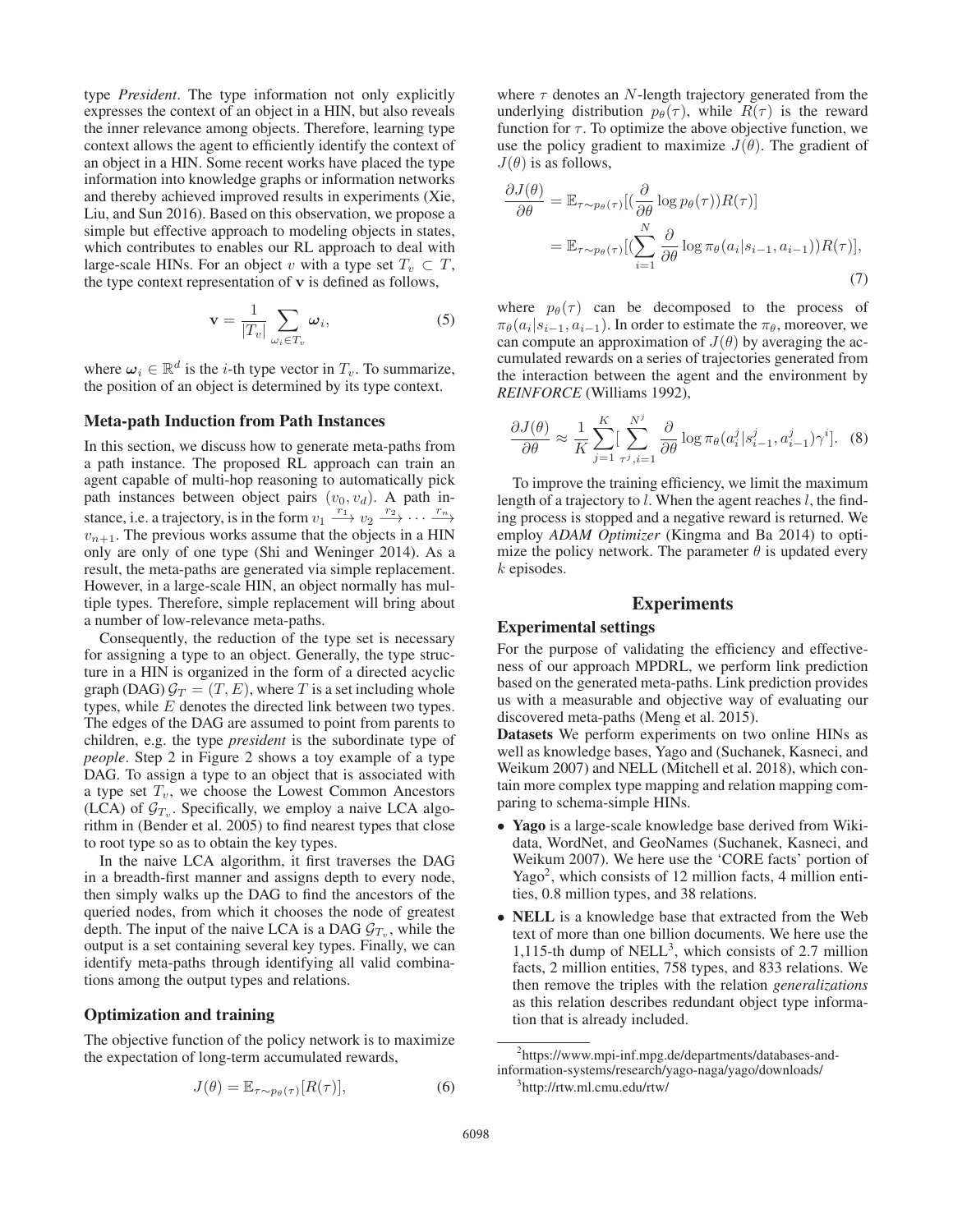type *President*. The type information not only explicitly expresses the context of an object in a HIN, but also reveals the inner relevance among objects. Therefore, learning type context allows the agent to efficiently identify the context of an object in a HIN. Some recent works have placed the type information into knowledge graphs or information networks and thereby achieved improved results in experiments (Xie, Liu, and Sun 2016). Based on this observation, we propose a simple but effective approach to modeling objects in states, which contributes to enables our RL approach to deal with large-scale HINs. For an object v with a type set  $T_v \subset T$ , the type context representation of **v** is defined as follows,

$$
\mathbf{v} = \frac{1}{|T_v|} \sum_{\omega_i \in T_v} \omega_i,
$$
 (5)

where  $\omega_i \in \mathbb{R}^d$  is the *i*-th type vector in  $T_v$ . To summarize, the position of an object is determined by its type context.

#### Meta-path Induction from Path Instances

In this section, we discuss how to generate meta-paths from a path instance. The proposed RL approach can train an agent capable of multi-hop reasoning to automatically pick path instances between object pairs  $(v_0, v_d)$ . A path instance, i.e. a trajectory, is in the form  $v_1 \xrightarrow{r_1} v_2 \xrightarrow{r_2} \cdots \xrightarrow{r_n}$  $v_{n+1}$ . The previous works assume that the objects in a HIN only are only of one type (Shi and Weninger 2014). As a result, the meta-paths are generated via simple replacement. However, in a large-scale HIN, an object normally has multiple types. Therefore, simple replacement will bring about a number of low-relevance meta-paths.

Consequently, the reduction of the type set is necessary for assigning a type to an object. Generally, the type structure in a HIN is organized in the form of a directed acyclic graph (DAG)  $G_T = (T, E)$ , where T is a set including whole types, while E denotes the directed link between two types. The edges of the DAG are assumed to point from parents to children, e.g. the type *president* is the subordinate type of *people*. Step 2 in Figure 2 shows a toy example of a type DAG. To assign a type to an object that is associated with a type set  $T_v$ , we choose the Lowest Common Ancestors (LCA) of  $\mathcal{G}_{T_{\alpha}}$ . Specifically, we employ a naive LCA algorithm in (Bender et al. 2005) to find nearest types that close to root type so as to obtain the key types.

In the naive LCA algorithm, it first traverses the DAG in a breadth-first manner and assigns depth to every node, then simply walks up the DAG to find the ancestors of the queried nodes, from which it chooses the node of greatest depth. The input of the naive LCA is a DAG  $\mathcal{G}_{T_v}$ , while the output is a set containing several key types. Finally, we can identify meta-paths through identifying all valid combinations among the output types and relations.

#### Optimization and training

The objective function of the policy network is to maximize the expectation of long-term accumulated rewards,

$$
J(\theta) = \mathbb{E}_{\tau \sim p_{\theta}(\tau)}[R(\tau)],\tag{6}
$$

where  $\tau$  denotes an N-length trajectory generated from the underlying distribution  $p_{\theta}(\tau)$ , while  $R(\tau)$  is the reward function for  $\tau$ . To optimize the above objective function, we use the policy gradient to maximize  $J(\theta)$ . The gradient of  $J(\theta)$  is as follows,

$$
\frac{\partial J(\theta)}{\partial \theta} = \mathbb{E}_{\tau \sim p_{\theta}(\tau)} [(\frac{\partial}{\partial \theta} \log p_{\theta}(\tau)) R(\tau)]
$$
  
=  $\mathbb{E}_{\tau \sim p_{\theta}(\tau)} [(\sum_{i=1}^{N} \frac{\partial}{\partial \theta} \log \pi_{\theta}(a_{i}|s_{i-1}, a_{i-1})) R(\tau)],$  (7)

where  $p_{\theta}(\tau)$  can be decomposed to the process of  $\pi_{\theta}(a_i|s_{i-1}, a_{i-1})$ . In order to estimate the  $\pi_{\theta}$ , moreover, we can compute an approximation of  $J(\theta)$  by averaging the accumulated rewards on a series of trajectories generated from the interaction between the agent and the environment by *REINFORCE* (Williams 1992),

$$
\frac{\partial J(\theta)}{\partial \theta} \approx \frac{1}{K} \sum_{j=1}^{K} \left[ \sum_{\tau^{j}, i=1}^{N^{j}} \frac{\partial}{\partial \theta} \log \pi_{\theta}(a_{i}^{j} | s_{i-1}^{j}, a_{i-1}^{j}) \gamma^{i} \right].
$$
 (8)

To improve the training efficiency, we limit the maximum length of a trajectory to  $l$ . When the agent reaches  $l$ , the finding process is stopped and a negative reward is returned. We employ *ADAM Optimizer* (Kingma and Ba 2014) to optimize the policy network. The parameter  $\theta$  is updated every  $k$  episodes.

## Experiments

#### Experimental settings

For the purpose of validating the efficiency and effectiveness of our approach MPDRL, we perform link prediction based on the generated meta-paths. Link prediction provides us with a measurable and objective way of evaluating our discovered meta-paths (Meng et al. 2015).

Datasets We perform experiments on two online HINs as well as knowledge bases, Yago and (Suchanek, Kasneci, and Weikum 2007) and NELL (Mitchell et al. 2018), which contain more complex type mapping and relation mapping comparing to schema-simple HINs.

- Yago is a large-scale knowledge base derived from Wikidata, WordNet, and GeoNames (Suchanek, Kasneci, and Weikum 2007). We here use the 'CORE facts' portion of Yago<sup>2</sup>, which consists of 12 million facts, 4 million entities, 0.8 million types, and 38 relations.
- NELL is a knowledge base that extracted from the Web text of more than one billion documents. We here use the 1,115-th dump of NELL<sup>3</sup>, which consists of 2.7 million facts, 2 million entities, 758 types, and 833 relations. We then remove the triples with the relation *generalizations* as this relation describes redundant object type information that is already included.

<sup>&</sup>lt;sup>2</sup>https://www.mpi-inf.mpg.de/departments/databases-andinformation-systems/research/yago-naga/yago/downloads/

<sup>3</sup> http://rtw.ml.cmu.edu/rtw/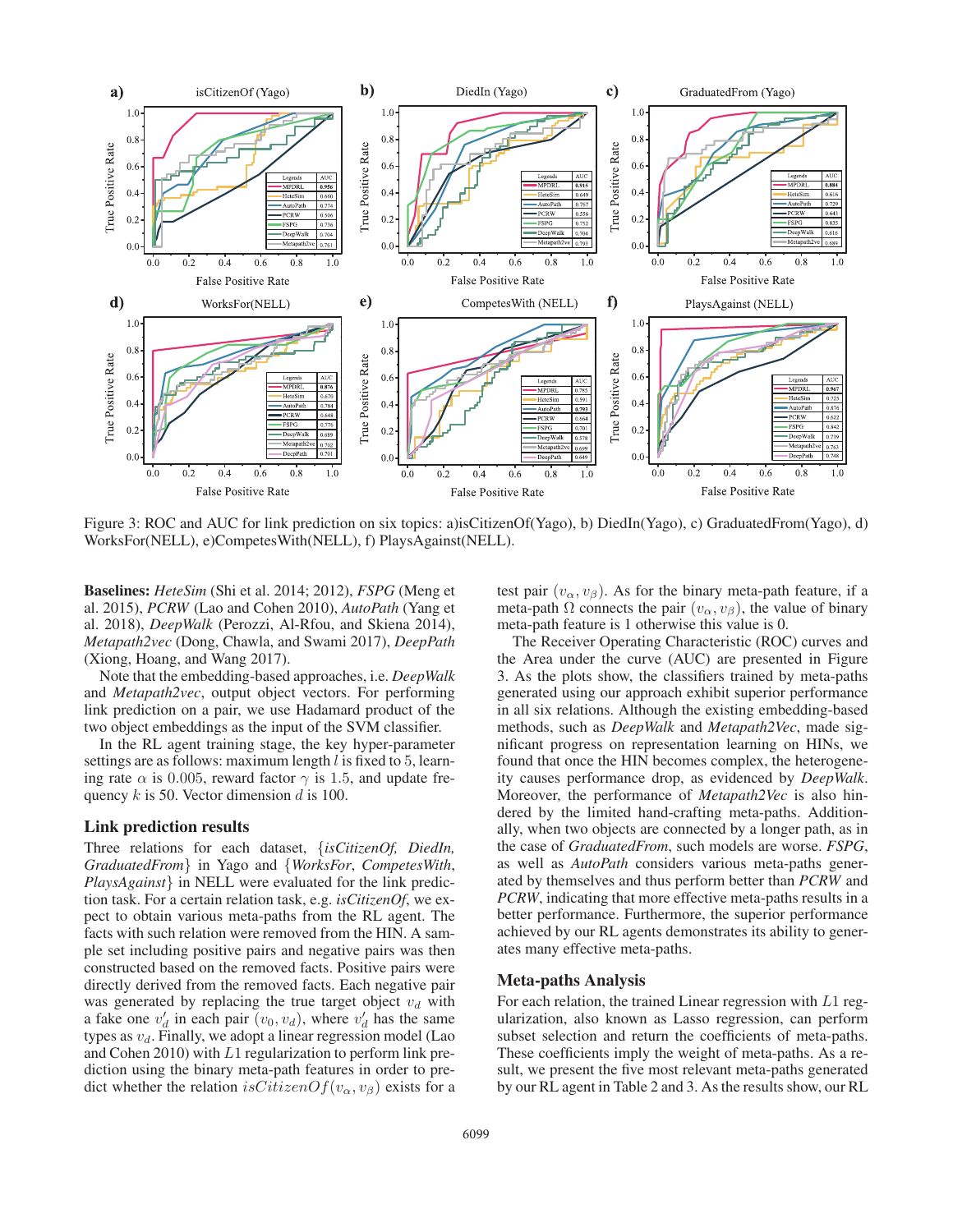

Figure 3: ROC and AUC for link prediction on six topics: a)isCitizenOf(Yago), b) DiedIn(Yago), c) GraduatedFrom(Yago), d) WorksFor(NELL), e)CompetesWith(NELL), f) PlaysAgainst(NELL).

Baselines: *HeteSim* (Shi et al. 2014; 2012), *FSPG* (Meng et al. 2015), *PCRW* (Lao and Cohen 2010), *AutoPath* (Yang et al. 2018), *DeepWalk* (Perozzi, Al-Rfou, and Skiena 2014), *Metapath2vec* (Dong, Chawla, and Swami 2017), *DeepPath* (Xiong, Hoang, and Wang 2017).

Note that the embedding-based approaches, i.e. *DeepWalk* and *Metapath2vec*, output object vectors. For performing link prediction on a pair, we use Hadamard product of the two object embeddings as the input of the SVM classifier.

In the RL agent training stage, the key hyper-parameter settings are as follows: maximum length  $l$  is fixed to  $5$ , learning rate  $\alpha$  is 0.005, reward factor  $\gamma$  is 1.5, and update frequency  $k$  is 50. Vector dimension  $d$  is 100.

# Link prediction results

Three relations for each dataset, {*isCitizenOf, DiedIn, GraduatedFrom*} in Yago and {*WorksFor*, *CompetesWith*, *PlaysAgainst*} in NELL were evaluated for the link prediction task. For a certain relation task, e.g. *isCitizenOf*, we expect to obtain various meta-paths from the RL agent. The facts with such relation were removed from the HIN. A sample set including positive pairs and negative pairs was then constructed based on the removed facts. Positive pairs were directly derived from the removed facts. Each negative pair was generated by replacing the true target object  $v_d$  with a fake one  $v_d$  in each pair  $(v_0, v_d)$ , where  $v_d$  has the same<br>types as  $v_t$ . Finally we adopt a linear regression model (Lao types as  $v_d$ . Finally, we adopt a linear regression model (Lao and Cohen 2010) with  $L1$  regularization to perform link prediction using the binary meta-path features in order to predict whether the relation isCitizenOf( $v_\alpha, v_\beta$ ) exists for a

test pair  $(v_\alpha, v_\beta)$ . As for the binary meta-path feature, if a meta-path  $\Omega$  connects the pair  $(v_{\alpha}, v_{\beta})$ , the value of binary meta-path feature is 1 otherwise this value is 0.

The Receiver Operating Characteristic (ROC) curves and the Area under the curve (AUC) are presented in Figure 3. As the plots show, the classifiers trained by meta-paths generated using our approach exhibit superior performance in all six relations. Although the existing embedding-based methods, such as *DeepWalk* and *Metapath2Vec*, made significant progress on representation learning on HINs, we found that once the HIN becomes complex, the heterogeneity causes performance drop, as evidenced by *DeepWalk*. Moreover, the performance of *Metapath2Vec* is also hindered by the limited hand-crafting meta-paths. Additionally, when two objects are connected by a longer path, as in the case of *GraduatedFrom*, such models are worse. *FSPG*, as well as *AutoPath* considers various meta-paths generated by themselves and thus perform better than *PCRW* and *PCRW*, indicating that more effective meta-paths results in a better performance. Furthermore, the superior performance achieved by our RL agents demonstrates its ability to generates many effective meta-paths.

# Meta-paths Analysis

For each relation, the trained Linear regression with <sup>L</sup>1 regularization, also known as Lasso regression, can perform subset selection and return the coefficients of meta-paths. These coefficients imply the weight of meta-paths. As a result, we present the five most relevant meta-paths generated by our RL agent in Table 2 and 3. As the results show, our RL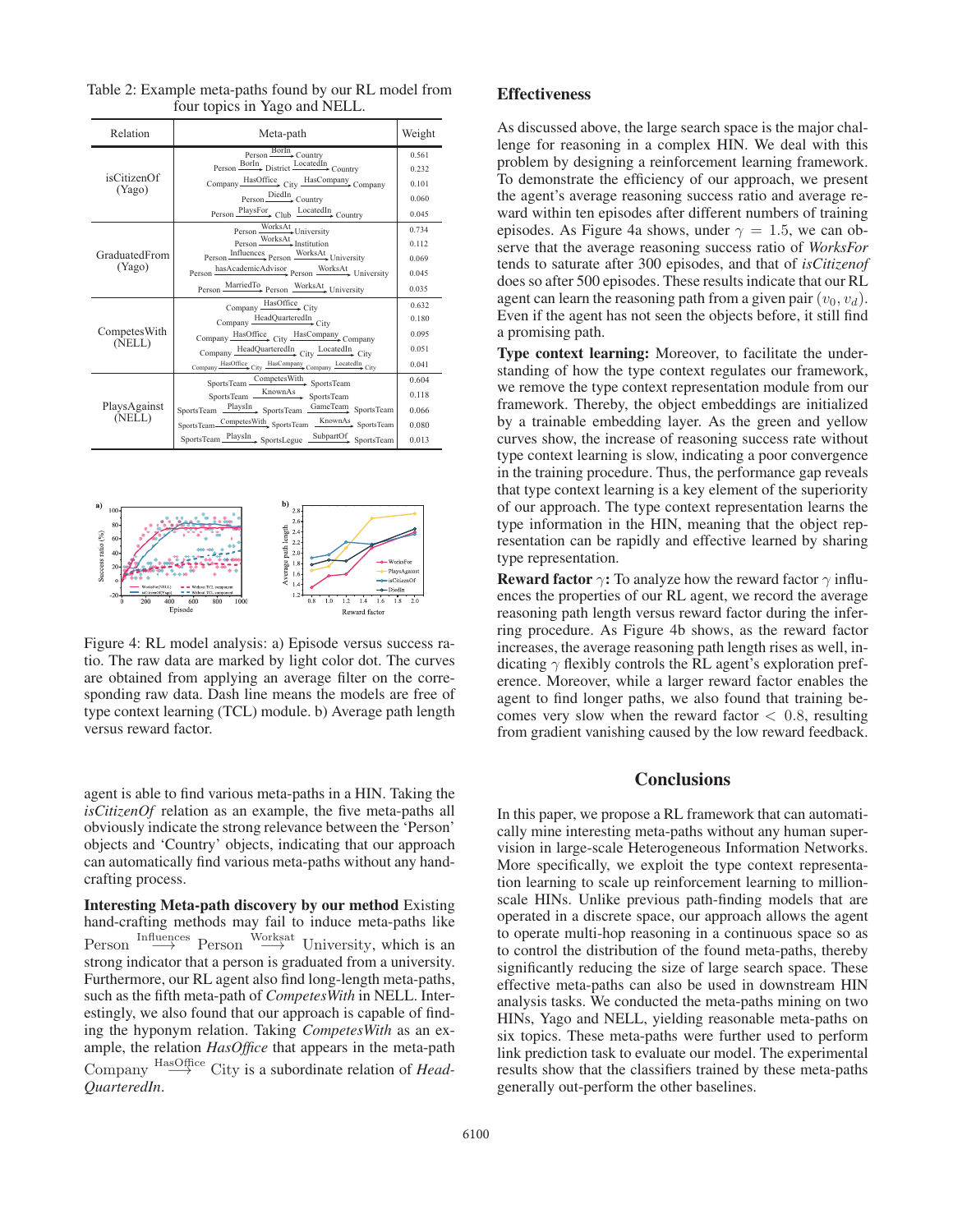| Relation                | Meta-path                                                        | Weight         |
|-------------------------|------------------------------------------------------------------|----------------|
| isCitizenOf<br>(Yago)   | Person Borln, Country<br>Person BorIn District LocatedIn Country | 0.561<br>0.232 |
|                         | Company HasOffice City HasCompany Company                        | 0.101          |
|                         | Person DiedIn<br>Country                                         | 0.060          |
|                         | Person PlaysFor Club LocatedIn Country                           | 0.045          |
| GraduatedFrom<br>(Yago) | Person WorksAt University                                        | 0.734          |
|                         | Person WorksAt Institution                                       | 0.112          |
|                         | Person Influences Person WorksAt University                      | 0.069          |
|                         | Person hasAcademicAdvisor Person WorksAt University              | 0.045          |
|                         | Person MarriedTo Person WorksAt University                       | 0.035          |
| CompetesWith<br>(NELL)  | Company HasOffice City                                           | 0.632          |
|                         | Company HeadQuarteredIn<br>City                                  | 0.180          |
|                         | Company HasOffice City HasCompany Company                        | 0.095          |
|                         | Company HeadQuarteredIn City LocatedIn City                      | 0.051          |
|                         | Company HasOffice City HasCompany Company LocatedIn City         | 0.041          |
| PlaysAgainst<br>(NELL)  | SportsTeam CompetesWith SportsTeam                               | 0.604          |
|                         | SportsTeam KnownAs SportsTeam                                    | 0.118          |
|                         | SportsTeam PlaysIn SportsTeam GameTeam SportsTeam                | 0.066          |
|                         | SportsTeam CompetesWith SportsTeam KnownAs SportsTeam            | 0.080          |
|                         | SportsTeam PlaysIn SportsLegue SubpartOf SportsTeam              | 0.013          |

Table 2: Example meta-paths found by our RL model from four topics in Yago and NELL.



Figure 4: RL model analysis: a) Episode versus success ratio. The raw data are marked by light color dot. The curves are obtained from applying an average filter on the corresponding raw data. Dash line means the models are free of type context learning (TCL) module. b) Average path length versus reward factor.

agent is able to find various meta-paths in a HIN. Taking the *isCitizenOf* relation as an example, the five meta-paths all obviously indicate the strong relevance between the 'Person' objects and 'Country' objects, indicating that our approach can automatically find various meta-paths without any handcrafting process.

Interesting Meta-path discovery by our method Existing hand-crafting methods may fail to induce meta-paths like  $\text{Person} \xrightarrow{\text{Influences}} \text{Person} \xrightarrow{\text{Worksat}}$ <br>strong indicator that a nerson is gr Person *interatives* Person <sup>WOLX34</sup> University, which is an strong indicator that a person is graduated from a university. Furthermore, our RL agent also find long-length meta-paths, such as the fifth meta-path of *CompetesWith* in NELL. Interestingly, we also found that our approach is capable of finding the hyponym relation. Taking *CompetesWith* as an example, the relation *HasOffice* that appears in the meta-path Company <sup>HasOffice</sup> City is a subordinate relation of *Head-*<br>*OuarteredIn QuarteredIn*.

### Effectiveness

As discussed above, the large search space is the major challenge for reasoning in a complex HIN. We deal with this problem by designing a reinforcement learning framework. To demonstrate the efficiency of our approach, we present the agent's average reasoning success ratio and average reward within ten episodes after different numbers of training episodes. As Figure 4a shows, under  $\gamma = 1.5$ , we can observe that the average reasoning success ratio of *WorksFor* tends to saturate after 300 episodes, and that of *isCitizenof* does so after 500 episodes. These results indicate that our RL agent can learn the reasoning path from a given pair  $(v_0, v_d)$ . Even if the agent has not seen the objects before, it still find a promising path.

Type context learning: Moreover, to facilitate the understanding of how the type context regulates our framework, we remove the type context representation module from our framework. Thereby, the object embeddings are initialized by a trainable embedding layer. As the green and yellow curves show, the increase of reasoning success rate without type context learning is slow, indicating a poor convergence in the training procedure. Thus, the performance gap reveals that type context learning is a key element of the superiority of our approach. The type context representation learns the type information in the HIN, meaning that the object representation can be rapidly and effective learned by sharing type representation.

**Reward factor**  $\gamma$ : To analyze how the reward factor  $\gamma$  influences the properties of our RL agent, we record the average reasoning path length versus reward factor during the inferring procedure. As Figure 4b shows, as the reward factor increases, the average reasoning path length rises as well, indicating  $\gamma$  flexibly controls the RL agent's exploration preference. Moreover, while a larger reward factor enables the agent to find longer paths, we also found that training becomes very slow when the reward factor  $< 0.8$ , resulting from gradient vanishing caused by the low reward feedback.

#### **Conclusions**

In this paper, we propose a RL framework that can automatically mine interesting meta-paths without any human supervision in large-scale Heterogeneous Information Networks. More specifically, we exploit the type context representation learning to scale up reinforcement learning to millionscale HINs. Unlike previous path-finding models that are operated in a discrete space, our approach allows the agent to operate multi-hop reasoning in a continuous space so as to control the distribution of the found meta-paths, thereby significantly reducing the size of large search space. These effective meta-paths can also be used in downstream HIN analysis tasks. We conducted the meta-paths mining on two HINs, Yago and NELL, yielding reasonable meta-paths on six topics. These meta-paths were further used to perform link prediction task to evaluate our model. The experimental results show that the classifiers trained by these meta-paths generally out-perform the other baselines.